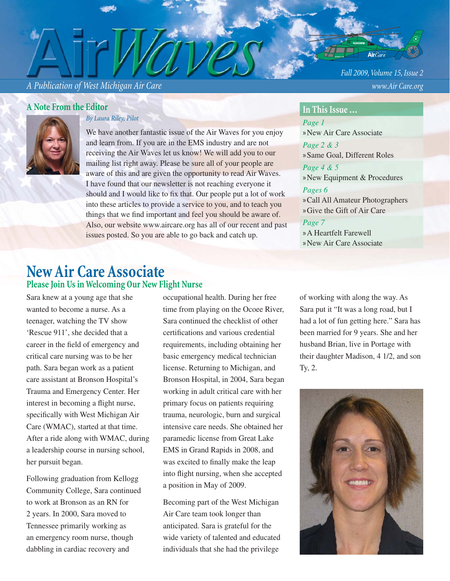*A Publication of West Michigan Air Care www.Air Care.org*

### **A Note From the Editor**



*By Laura Riley, Pilot*

We have another fantastic issue of the Air Waves for you enjoy and learn from. If you are in the EMS industry and are not receiving the Air Waves let us know! We will add you to our mailing list right away. Please be sure all of your people are aware of this and are given the opportunity to read Air Waves. I have found that our newsletter is not reaching everyone it should and I would like to fix that. Our people put a lot of work into these articles to provide a service to you, and to teach you things that we find important and feel you should be aware of. Also, our website www.aircare.org has all of our recent and past issues posted. So you are able to go back and catch up.

## **New Air Care Associate Please Join Us in Welcoming Our New Flight Nurse**

Sara knew at a young age that she wanted to become a nurse. As a teenager, watching the TV show 'Rescue 911', she decided that a career in the field of emergency and critical care nursing was to be her path. Sara began work as a patient care assistant at Bronson Hospital's Trauma and Emergency Center. Her interest in becoming a flight nurse, specifically with West Michigan Air Care (WMAC), started at that time. After a ride along with WMAC, during a leadership course in nursing school, her pursuit began.

Following graduation from Kellogg Community College, Sara continued to work at Bronson as an RN for 2 years. In 2000, Sara moved to Tennessee primarily working as an emergency room nurse, though dabbling in cardiac recovery and

occupational health. During her free time from playing on the Ocoee River, Sara continued the checklist of other certifications and various credential requirements, including obtaining her basic emergency medical technician license. Returning to Michigan, and Bronson Hospital, in 2004, Sara began working in adult critical care with her primary focus on patients requiring trauma, neurologic, burn and surgical intensive care needs. She obtained her paramedic license from Great Lake EMS in Grand Rapids in 2008, and was excited to finally make the leap into flight nursing, when she accepted a position in May of 2009.

Becoming part of the West Michigan Air Care team took longer than anticipated. Sara is grateful for the wide variety of talented and educated individuals that she had the privilege

of working with along the way. As Sara put it "It was a long road, but I had a lot of fun getting here." Sara has been married for 9 years. She and her husband Brian, live in Portage with their daughter Madison, 4 1/2, and son Ty, 2.



*Fall 2009, Volume 15, Issue 2*

### **In This Issue …**

*Page 1* »New Air Care Associate *Page 2 & 3* »Same Goal, Different Roles *Page 4 & 5*  »New Equipment & Procedures

### *Pages 6*

Call All Amateur Photographers » Give the Gift of Air Care »

### *Page 7*

A Heartfelt Farewell » » New Air Care Associate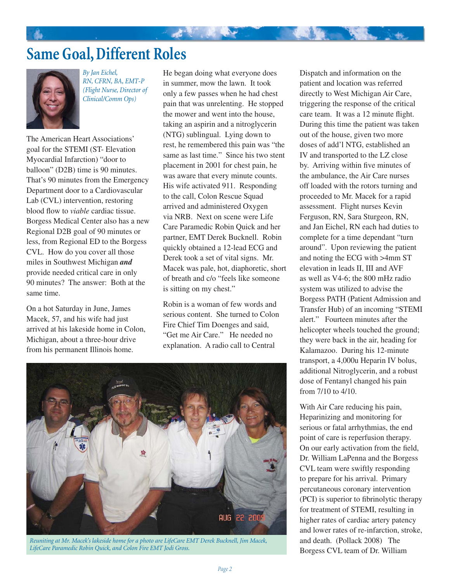# **Same Goal, Different Roles**



*By Jan Eichel, RN, CFRN, BA, EMT-P (Flight Nurse, Director of Clinical/Comm Ops)*

The American Heart Associations' goal for the STEMI (ST- Elevation Myocardial Infarction) "door to balloon" (D2B) time is 90 minutes. That's 90 minutes from the Emergency Department door to a Cardiovascular Lab (CVL) intervention, restoring blood flow to *viable* cardiac tissue. Borgess Medical Center also has a new Regional D2B goal of 90 minutes or less, from Regional ED to the Borgess CVL. How do you cover all those miles in Southwest Michigan *and* provide needed critical care in only 90 minutes? The answer: Both at the same time.

On a hot Saturday in June, James Macek, 57, and his wife had just arrived at his lakeside home in Colon, Michigan, about a three-hour drive from his permanent Illinois home.

He began doing what everyone does in summer, mow the lawn. It took only a few passes when he had chest pain that was unrelenting. He stopped the mower and went into the house, taking an aspirin and a nitroglycerin (NTG) sublingual. Lying down to rest, he remembered this pain was "the same as last time." Since his two stent placement in 2001 for chest pain, he was aware that every minute counts. His wife activated 911. Responding to the call, Colon Rescue Squad arrived and administered Oxygen via NRB. Next on scene were Life Care Paramedic Robin Quick and her partner, EMT Derek Bucknell. Robin quickly obtained a 12-lead ECG and Derek took a set of vital signs. Mr. Macek was pale, hot, diaphoretic, short of breath and c/o "feels like someone is sitting on my chest."

Robin is a woman of few words and serious content. She turned to Colon Fire Chief Tim Doenges and said, "Get me Air Care." He needed no explanation. A radio call to Central



*Reuniting at Mr. Macek's lakeside home for a photo are LifeCare EMT Derek Bucknell, Jim Macek, LifeCare Paramedic Robin Quick, and Colon Fire EMT Jodi Gross.*

Dispatch and information on the patient and location was referred directly to West Michigan Air Care, triggering the response of the critical care team. It was a 12 minute flight. During this time the patient was taken out of the house, given two more doses of add'l NTG, established an IV and transported to the LZ close by. Arriving within five minutes of the ambulance, the Air Care nurses off loaded with the rotors turning and proceeded to Mr. Macek for a rapid assessment. Flight nurses Kevin Ferguson, RN, Sara Sturgeon, RN, and Jan Eichel, RN each had duties to complete for a time dependant "turn around". Upon reviewing the patient and noting the ECG with >4mm ST elevation in leads II, III and AVF as well as V4-6; the 800 mHz radio system was utilized to advise the Borgess PATH (Patient Admission and Transfer Hub) of an incoming "STEMI alert." Fourteen minutes after the helicopter wheels touched the ground; they were back in the air, heading for Kalamazoo. During his 12-minute transport, a 4,000u Heparin IV bolus, additional Nitroglycerin, and a robust dose of Fentanyl changed his pain from 7/10 to 4/10.

With Air Care reducing his pain, Heparinizing and monitoring for serious or fatal arrhythmias, the end point of care is reperfusion therapy. On our early activation from the field, Dr. William LaPenna and the Borgess CVL team were swiftly responding to prepare for his arrival. Primary percutaneous coronary intervention (PCI) is superior to fibrinolytic therapy for treatment of STEMI, resulting in higher rates of cardiac artery patency and lower rates of re-infarction, stroke, and death. (Pollack 2008) The Borgess CVL team of Dr. William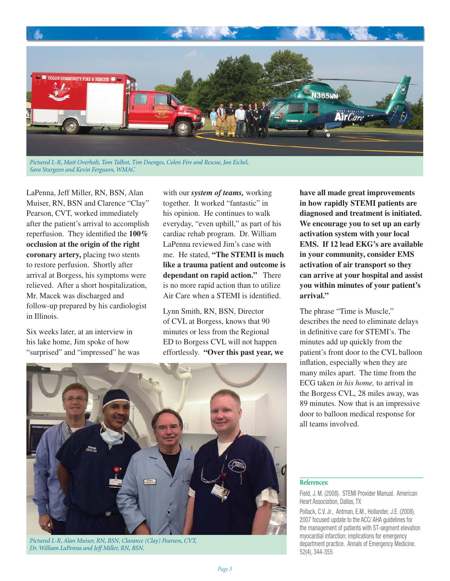

LaPenna, Jeff Miller, RN, BSN, Alan Muiser, RN, BSN and Clarence "Clay" Pearson, CVT, worked immediately after the patient's arrival to accomplish reperfusion. They identified the 100% **occlusion at the origin of the right coronary artery,** placing two stents to restore perfusion. Shortly after arrival at Borgess, his symptoms were relieved. After a short hospitalization, Mr. Macek was discharged and follow-up prepared by his cardiologist in Illinois.

Six weeks later, at an interview in his lake home, Jim spoke of how "surprised" and "impressed" he was with our *system of teams,* working together. It worked "fantastic" in his opinion. He continues to walk everyday, "even uphill," as part of his cardiac rehab program. Dr. William LaPenna reviewed Jim's case with me. He stated, **"The STEMI is much like a trauma patient and outcome is dependant on rapid action."** There is no more rapid action than to utilize Air Care when a STEMI is identified.

Lynn Smith, RN, BSN, Director of CVL at Borgess, knows that 90 minutes or less from the Regional ED to Borgess CVL will not happen effortlessly. **"Over this past year, we**  **have all made great improvements in how rapidly STEMI patients are diagnosed and treatment is initiated. We encourage you to set up an early activation system with your local EMS. If 12 lead EKG's are available in your community, consider EMS activation of air transport so they can arrive at your hospital and assist you within minutes of your patient's arrival."**

The phrase "Time is Muscle," describes the need to eliminate delays in definitive care for STEMI's. The minutes add up quickly from the patient's front door to the CVL balloon inflation, especially when they are many miles apart. The time from the ECG taken *in his home,* to arrival in the Borgess CVL, 28 miles away, was 89 minutes. Now that is an impressive door to balloon medical response for all teams involved.



*Pictured L-R, Alan Muiser, RN, BSN, Clarance (Clay) Pearson, CVT, Dr. William LaPenna and Jeff Miller, RN, BSN.*

#### **References:**

Field, J. M. (2008). STEMI Provider Manual. American Heart Association, Dallas, TX

Pollack, C.V. Jr., Antman, E.M., Hollander, J.E. (2008). 2007 focused update to the ACC/ AHA guidelines for the management of patients with ST-segment elevation myocardial infarction: implications for emergency department practice. Annals of Emergency Medicine. 52(4), 344-355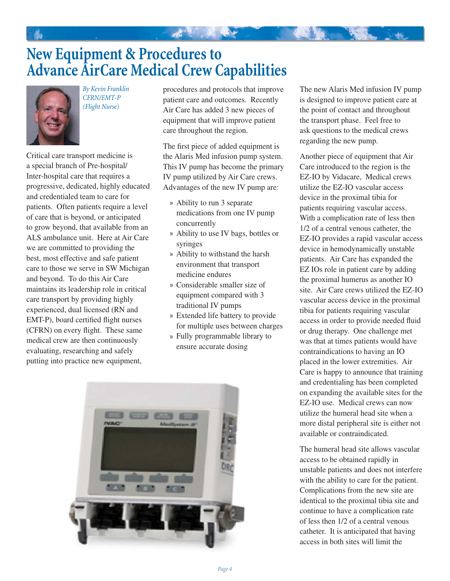# **New Equipment & Procedures to Advance AirCare Medical Crew Capabilities**



*By Kevin Franklin CFRN/EMT-P (Flight Nurse)*

Critical care transport medicine is a special branch of Pre-hospital/ Inter-hospital care that requires a progressive, dedicated, highly educated and credentialed team to care for patients. Often patients require a level of care that is beyond, or anticipated to grow beyond, that available from an ALS ambulance unit. Here at Air Care we are committed to providing the best, most effective and safe patient care to those we serve in SW Michigan and beyond. To do this Air Care maintains its leadership role in critical care transport by providing highly experienced, dual licensed (RN and EMT-P), board certified flight nurses (CFRN) on every flight. These same medical crew are then continuously evaluating, researching and safely putting into practice new equipment,

procedures and protocols that improve patient care and outcomes. Recently Air Care has added 3 new pieces of equipment that will improve patient care throughout the region.

The first piece of added equipment is the Alaris Med infusion pump system. This IV pump has become the primary IV pump utilized by Air Care crews. Advantages of the new IV pump are:

- Ability to run 3 separate » medications from one IV pump concurrently
- Ability to use IV bags, bottles or » syringes
- Ability to withstand the harsh » environment that transport medicine endures
- Considerable smaller size of » equipment compared with 3 traditional IV pumps
- Extended life battery to provide » for multiple uses between charges
- Fully programmable library to » ensure accurate dosing



The new Alaris Med infusion IV pump is designed to improve patient care at the point of contact and throughout the transport phase. Feel free to ask questions to the medical crews regarding the new pump.

Another piece of equipment that Air Care introduced to the region is the EZ-IO by Vidacare, Medical crews utilize the EZ-IO vascular access device in the proximal tibia for patients requiring vascular access. With a complication rate of less then 1/2 of a central venous catheter, the EZ-IO provides a rapid vascular access device in hemodynamically unstable patients. Air Care has expanded the EZ IOs role in patient care by adding the proximal humerus as another IO site. Air Care crews utilized the EZ-IO vascular access device in the proximal tibia for patients requiring vascular access in order to provide needed fluid or drug therapy. One challenge met was that at times patients would have contraindications to having an IO placed in the lower extremities. Air Care is happy to announce that training and credentialing has been completed on expanding the available sites for the EZ-IO use. Medical crews can now utilize the humeral head site when a more distal peripheral site is either not available or contraindicated.

The humeral head site allows vascular access to be obtained rapidly in unstable patients and does not interfere with the ability to care for the patient. Complications from the new site are identical to the proximal tibia site and continue to have a complication rate of less then 1/2 of a central venous catheter. It is anticipated that having access in both sites will limit the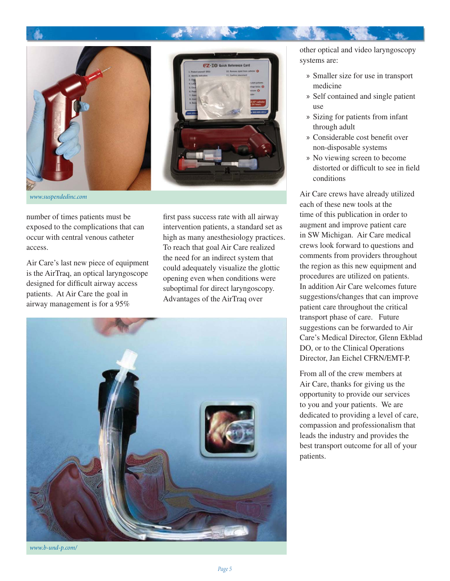

*www.suspendedinc.com*

number of times patients must be exposed to the complications that can occur with central venous catheter access.

Air Care's last new piece of equipment is the AirTraq, an optical laryngoscope designed for difficult airway access patients. At Air Care the goal in airway management is for a 95%

first pass success rate with all airway intervention patients, a standard set as high as many anesthesiology practices. To reach that goal Air Care realized the need for an indirect system that could adequately visualize the glottic opening even when conditions were suboptimal for direct laryngoscopy. Advantages of the AirTraq over



other optical and video laryngoscopy systems are:

- Smaller size for use in transport » medicine
- » Self contained and single patient use
- Sizing for patients from infant » through adult
- » Considerable cost benefit over non-disposable systems
- » No viewing screen to become distorted or difficult to see in field conditions

Air Care crews have already utilized each of these new tools at the time of this publication in order to augment and improve patient care in SW Michigan. Air Care medical crews look forward to questions and comments from providers throughout the region as this new equipment and procedures are utilized on patients. In addition Air Care welcomes future suggestions/changes that can improve patient care throughout the critical transport phase of care. Future suggestions can be forwarded to Air Care's Medical Director, Glenn Ekblad DO, or to the Clinical Operations Director, Jan Eichel CFRN/EMT-P.

From all of the crew members at Air Care, thanks for giving us the opportunity to provide our services to you and your patients. We are dedicated to providing a level of care, compassion and professionalism that leads the industry and provides the best transport outcome for all of your patients.

*www.b-und-p.com/*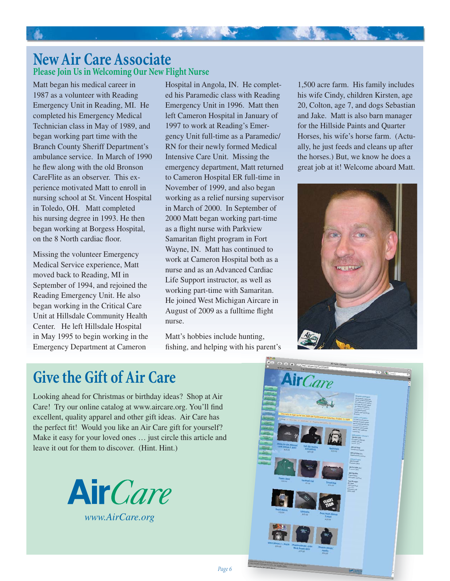## **New Air Care Associate Please Join Us in Welcoming Our New Flight Nurse**

Matt began his medical career in 1987 as a volunteer with Reading Emergency Unit in Reading, MI. He completed his Emergency Medical Technician class in May of 1989, and began working part time with the Branch County Sheriff Department's ambulance service. In March of 1990 he flew along with the old Bronson CareFlite as an observer. This experience motivated Matt to enroll in nursing school at St. Vincent Hospital in Toledo, OH. Matt completed his nursing degree in 1993. He then began working at Borgess Hospital, on the 8 North cardiac floor.

4

Missing the volunteer Emergency Medical Service experience, Matt moved back to Reading, MI in September of 1994, and rejoined the Reading Emergency Unit. He also began working in the Critical Care Unit at Hillsdale Community Health Center. He left Hillsdale Hospital in May 1995 to begin working in the Emergency Department at Cameron

Hospital in Angola, IN. He completed his Paramedic class with Reading Emergency Unit in 1996. Matt then left Cameron Hospital in January of 1997 to work at Reading's Emergency Unit full-time as a Paramedic/ RN for their newly formed Medical Intensive Care Unit. Missing the emergency department, Matt returned to Cameron Hospital ER full-time in November of 1999, and also began working as a relief nursing supervisor in March of 2000. In September of 2000 Matt began working part-time as a flight nurse with Parkview Samaritan flight program in Fort Wayne, IN. Matt has continued to work at Cameron Hospital both as a nurse and as an Advanced Cardiac Life Support instructor, as well as working part-time with Samaritan. He joined West Michigan Aircare in August of 2009 as a fulltime flight nurse.

Matt's hobbies include hunting, fishing, and helping with his parent's

*Page 6*

1,500 acre farm. His family includes his wife Cindy, children Kirsten, age 20, Colton, age 7, and dogs Sebastian and Jake. Matt is also barn manager for the Hillside Paints and Quarter Horses, his wife's horse farm. (Actually, he just feeds and cleans up after the horses.) But, we know he does a great job at it! Welcome aboard Matt.



## **Give the Gift of Air Care**

Looking ahead for Christmas or birthday ideas? Shop at Air Care! Try our online catalog at www.aircare.org. You'll find excellent, quality apparel and other gift ideas. Air Care has the perfect fit! Would you like an Air Care gift for yourself? Make it easy for your loved ones … just circle this article and leave it out for them to discover. (Hint. Hint.)



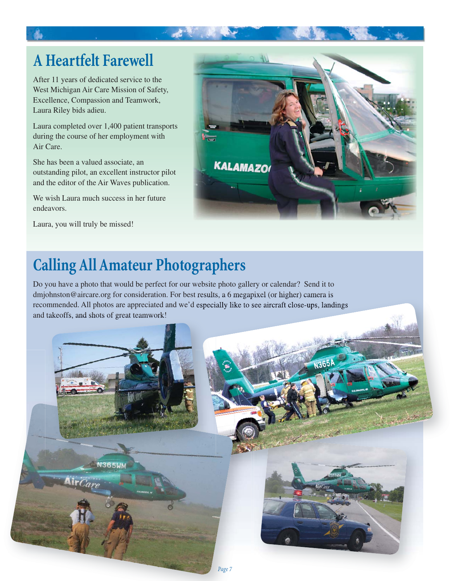# **A Heartfelt Farewell**

After 11 years of dedicated service to the West Michigan Air Care Mission of Safety, Excellence, Compassion and Teamwork, Laura Riley bids adieu.

Laura completed over 1,400 patient transports during the course of her employment with Air Care.

She has been a valued associate, an outstanding pilot, an excellent instructor pilot and the editor of the Air Waves publication.

We wish Laura much success in her future endeavors.

Laura, you will truly be missed!



# **Calling All Amateur Photographers**

Do you have a photo that would be perfect for our website photo gallery or calendar? Send it to dmjohnston@aircare.org for consideration. For best results, a 6 megapixel (or higher) camera is recommended. All photos are appreciated and we'd especially like to see aircraft close-ups, landings and takeoffs, and shots of great teamwork!

st.